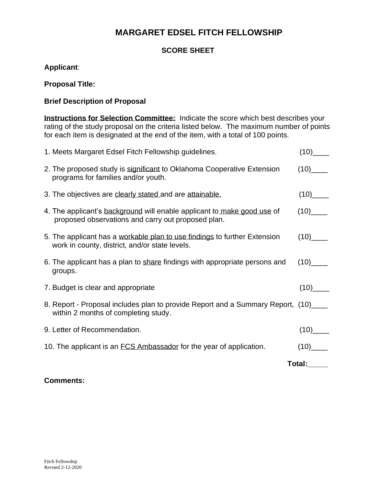# **MARGARET EDSEL FITCH FELLOWSHIP**

### **SCORE SHEET**

**Applicant**:

#### **Proposal Title:**

#### **Brief Description of Proposal**

**Instructions for Selection Committee:** Indicate the score which best describes your rating of the study proposal on the criteria listed below. The maximum number of points for each item is designated at the end of the item, with a total of 100 points.

| 1. Meets Margaret Edsel Fitch Fellowship guidelines.                                                                          | $(10)$ <sub>______</sub>   |
|-------------------------------------------------------------------------------------------------------------------------------|----------------------------|
| 2. The proposed study is significant to Oklahoma Cooperative Extension<br>programs for families and/or youth.                 | (10)                       |
| 3. The objectives are clearly stated and are attainable.                                                                      | $(10)$ <sub>______</sub>   |
| 4. The applicant's background will enable applicant to make good use of<br>proposed observations and carry out proposed plan. | $(10)$ <sub>_____</sub>    |
| 5. The applicant has a workable plan to use findings to further Extension<br>work in county, district, and/or state levels.   | $(10)$ <sub>______</sub>   |
| 6. The applicant has a plan to share findings with appropriate persons and<br>groups.                                         | $(10)$ <sub>______</sub>   |
| 7. Budget is clear and appropriate                                                                                            | $(10)$ <sub>________</sub> |
| 8. Report - Proposal includes plan to provide Report and a Summary Report, (10)<br>within 2 months of completing study.       |                            |
| 9. Letter of Recommendation.                                                                                                  | $(10)$ <sub>______</sub>   |
| 10. The applicant is an FCS Ambassador for the year of application.                                                           | $(10)$ <sub>______</sub>   |
| Total: Total                                                                                                                  |                            |

#### **Comments:**